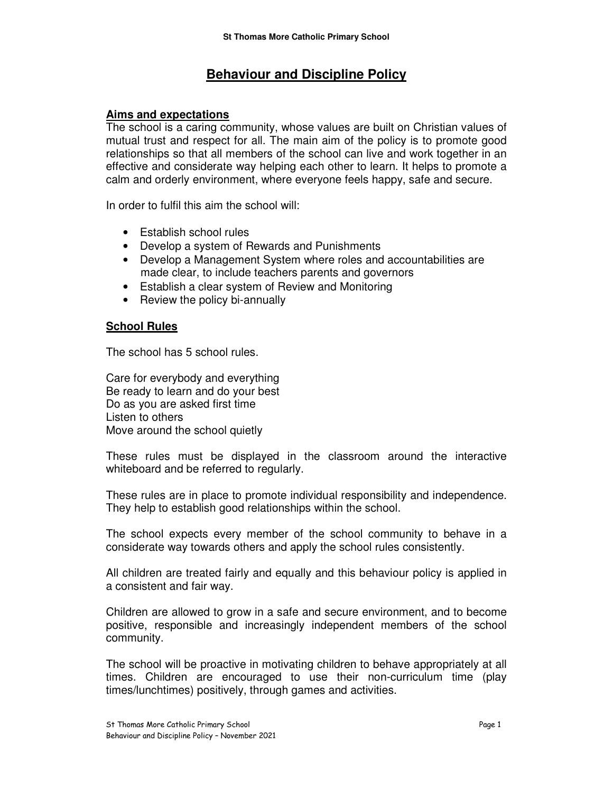# **Behaviour and Discipline Policy**

## **Aims and expectations**

The school is a caring community, whose values are built on Christian values of mutual trust and respect for all. The main aim of the policy is to promote good relationships so that all members of the school can live and work together in an effective and considerate way helping each other to learn. It helps to promote a calm and orderly environment, where everyone feels happy, safe and secure.

In order to fulfil this aim the school will:

- Establish school rules
- Develop a system of Rewards and Punishments
- Develop a Management System where roles and accountabilities are made clear, to include teachers parents and governors
- Establish a clear system of Review and Monitoring
- Review the policy bi-annually

### **School Rules**

The school has 5 school rules.

Care for everybody and everything Be ready to learn and do your best Do as you are asked first time Listen to others Move around the school quietly

These rules must be displayed in the classroom around the interactive whiteboard and be referred to regularly.

These rules are in place to promote individual responsibility and independence. They help to establish good relationships within the school.

The school expects every member of the school community to behave in a considerate way towards others and apply the school rules consistently.

All children are treated fairly and equally and this behaviour policy is applied in a consistent and fair way.

Children are allowed to grow in a safe and secure environment, and to become positive, responsible and increasingly independent members of the school community.

The school will be proactive in motivating children to behave appropriately at all times. Children are encouraged to use their non-curriculum time (play times/lunchtimes) positively, through games and activities.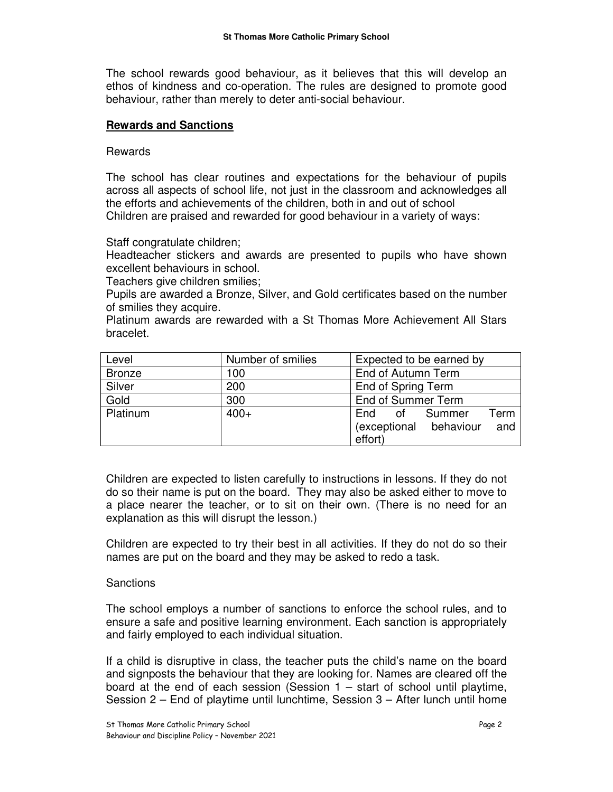The school rewards good behaviour, as it believes that this will develop an ethos of kindness and co-operation. The rules are designed to promote good behaviour, rather than merely to deter anti-social behaviour.

#### **Rewards and Sanctions**

Rewards

The school has clear routines and expectations for the behaviour of pupils across all aspects of school life, not just in the classroom and acknowledges all the efforts and achievements of the children, both in and out of school Children are praised and rewarded for good behaviour in a variety of ways:

Staff congratulate children;

Headteacher stickers and awards are presented to pupils who have shown excellent behaviours in school.

Teachers give children smilies;

Pupils are awarded a Bronze, Silver, and Gold certificates based on the number of smilies they acquire.

Platinum awards are rewarded with a St Thomas More Achievement All Stars bracelet.

| Level         | Number of smilies | Expected to be earned by         |
|---------------|-------------------|----------------------------------|
| <b>Bronze</b> | 100               | End of Autumn Term               |
| Silver        | 200               | End of Spring Term               |
| Gold          | 300               | End of Summer Term               |
| Platinum      | $400+$            | Term<br>of Summer<br>End         |
|               |                   | (exceptional<br>and<br>behaviour |
|               |                   | effort)                          |

Children are expected to listen carefully to instructions in lessons. If they do not do so their name is put on the board. They may also be asked either to move to a place nearer the teacher, or to sit on their own. (There is no need for an explanation as this will disrupt the lesson.)

Children are expected to try their best in all activities. If they do not do so their names are put on the board and they may be asked to redo a task.

#### **Sanctions**

The school employs a number of sanctions to enforce the school rules, and to ensure a safe and positive learning environment. Each sanction is appropriately and fairly employed to each individual situation.

If a child is disruptive in class, the teacher puts the child's name on the board and signposts the behaviour that they are looking for. Names are cleared off the board at the end of each session (Session  $1 -$  start of school until playtime, Session 2 – End of playtime until lunchtime, Session 3 – After lunch until home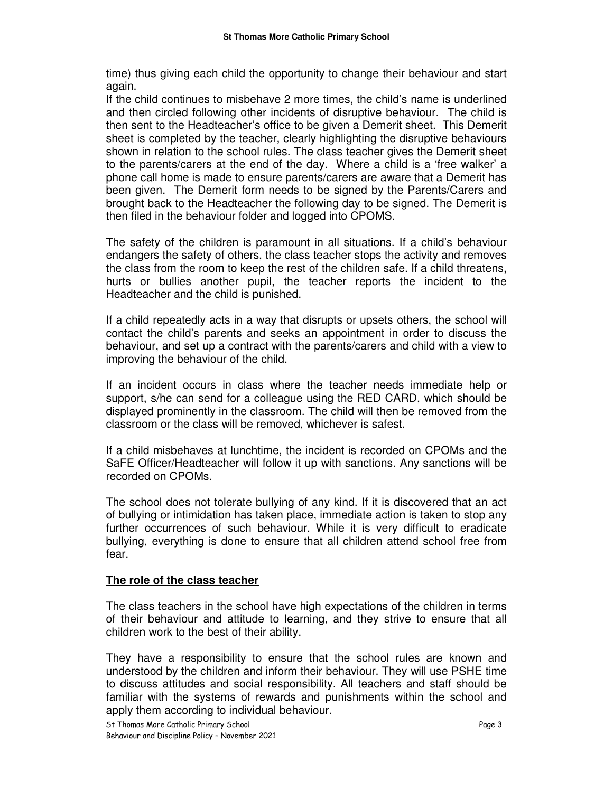time) thus giving each child the opportunity to change their behaviour and start again.

If the child continues to misbehave 2 more times, the child's name is underlined and then circled following other incidents of disruptive behaviour. The child is then sent to the Headteacher's office to be given a Demerit sheet. This Demerit sheet is completed by the teacher, clearly highlighting the disruptive behaviours shown in relation to the school rules. The class teacher gives the Demerit sheet to the parents/carers at the end of the day. Where a child is a 'free walker' a phone call home is made to ensure parents/carers are aware that a Demerit has been given. The Demerit form needs to be signed by the Parents/Carers and brought back to the Headteacher the following day to be signed. The Demerit is then filed in the behaviour folder and logged into CPOMS.

The safety of the children is paramount in all situations. If a child's behaviour endangers the safety of others, the class teacher stops the activity and removes the class from the room to keep the rest of the children safe. If a child threatens, hurts or bullies another pupil, the teacher reports the incident to the Headteacher and the child is punished.

If a child repeatedly acts in a way that disrupts or upsets others, the school will contact the child's parents and seeks an appointment in order to discuss the behaviour, and set up a contract with the parents/carers and child with a view to improving the behaviour of the child.

If an incident occurs in class where the teacher needs immediate help or support, s/he can send for a colleague using the RED CARD, which should be displayed prominently in the classroom. The child will then be removed from the classroom or the class will be removed, whichever is safest.

If a child misbehaves at lunchtime, the incident is recorded on CPOMs and the SaFE Officer/Headteacher will follow it up with sanctions. Any sanctions will be recorded on CPOMs.

The school does not tolerate bullying of any kind. If it is discovered that an act of bullying or intimidation has taken place, immediate action is taken to stop any further occurrences of such behaviour. While it is very difficult to eradicate bullying, everything is done to ensure that all children attend school free from fear.

### **The role of the class teacher**

The class teachers in the school have high expectations of the children in terms of their behaviour and attitude to learning, and they strive to ensure that all children work to the best of their ability.

They have a responsibility to ensure that the school rules are known and understood by the children and inform their behaviour. They will use PSHE time to discuss attitudes and social responsibility. All teachers and staff should be familiar with the systems of rewards and punishments within the school and apply them according to individual behaviour.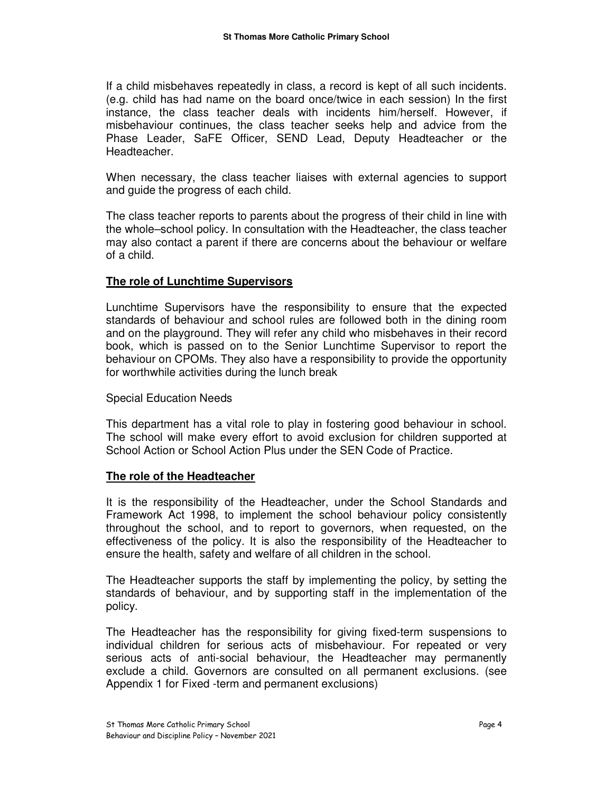If a child misbehaves repeatedly in class, a record is kept of all such incidents. (e.g. child has had name on the board once/twice in each session) In the first instance, the class teacher deals with incidents him/herself. However, if misbehaviour continues, the class teacher seeks help and advice from the Phase Leader, SaFE Officer, SEND Lead, Deputy Headteacher or the Headteacher.

When necessary, the class teacher liaises with external agencies to support and guide the progress of each child.

The class teacher reports to parents about the progress of their child in line with the whole–school policy. In consultation with the Headteacher, the class teacher may also contact a parent if there are concerns about the behaviour or welfare of a child.

## **The role of Lunchtime Supervisors**

Lunchtime Supervisors have the responsibility to ensure that the expected standards of behaviour and school rules are followed both in the dining room and on the playground. They will refer any child who misbehaves in their record book, which is passed on to the Senior Lunchtime Supervisor to report the behaviour on CPOMs. They also have a responsibility to provide the opportunity for worthwhile activities during the lunch break

### Special Education Needs

This department has a vital role to play in fostering good behaviour in school. The school will make every effort to avoid exclusion for children supported at School Action or School Action Plus under the SEN Code of Practice.

### **The role of the Headteacher**

It is the responsibility of the Headteacher, under the School Standards and Framework Act 1998, to implement the school behaviour policy consistently throughout the school, and to report to governors, when requested, on the effectiveness of the policy. It is also the responsibility of the Headteacher to ensure the health, safety and welfare of all children in the school.

The Headteacher supports the staff by implementing the policy, by setting the standards of behaviour, and by supporting staff in the implementation of the policy.

The Headteacher has the responsibility for giving fixed-term suspensions to individual children for serious acts of misbehaviour. For repeated or very serious acts of anti-social behaviour, the Headteacher may permanently exclude a child. Governors are consulted on all permanent exclusions. (see Appendix 1 for Fixed -term and permanent exclusions)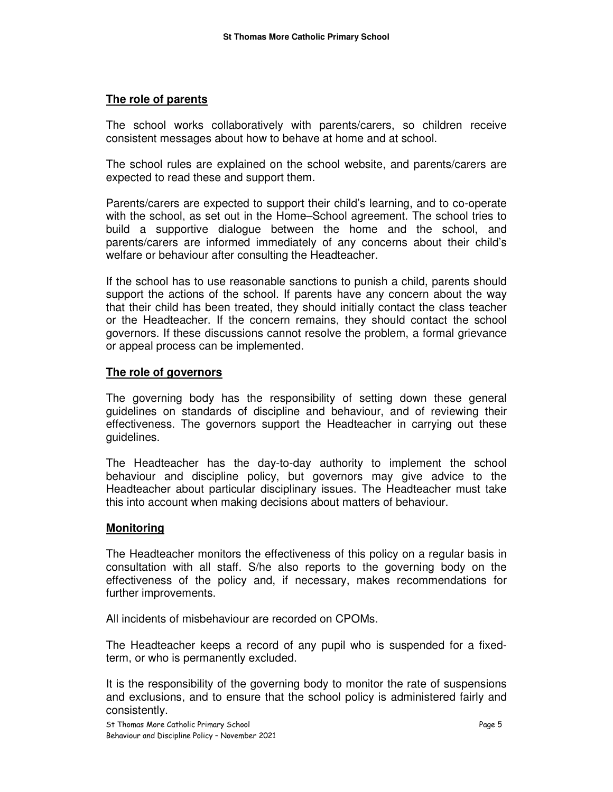## **The role of parents**

The school works collaboratively with parents/carers, so children receive consistent messages about how to behave at home and at school.

The school rules are explained on the school website, and parents/carers are expected to read these and support them.

Parents/carers are expected to support their child's learning, and to co-operate with the school, as set out in the Home–School agreement. The school tries to build a supportive dialogue between the home and the school, and parents/carers are informed immediately of any concerns about their child's welfare or behaviour after consulting the Headteacher.

If the school has to use reasonable sanctions to punish a child, parents should support the actions of the school. If parents have any concern about the way that their child has been treated, they should initially contact the class teacher or the Headteacher. If the concern remains, they should contact the school governors. If these discussions cannot resolve the problem, a formal grievance or appeal process can be implemented.

## **The role of governors**

The governing body has the responsibility of setting down these general guidelines on standards of discipline and behaviour, and of reviewing their effectiveness. The governors support the Headteacher in carrying out these guidelines.

The Headteacher has the day-to-day authority to implement the school behaviour and discipline policy, but governors may give advice to the Headteacher about particular disciplinary issues. The Headteacher must take this into account when making decisions about matters of behaviour.

### **Monitoring**

The Headteacher monitors the effectiveness of this policy on a regular basis in consultation with all staff. S/he also reports to the governing body on the effectiveness of the policy and, if necessary, makes recommendations for further improvements.

All incidents of misbehaviour are recorded on CPOMs.

The Headteacher keeps a record of any pupil who is suspended for a fixedterm, or who is permanently excluded.

It is the responsibility of the governing body to monitor the rate of suspensions and exclusions, and to ensure that the school policy is administered fairly and consistently.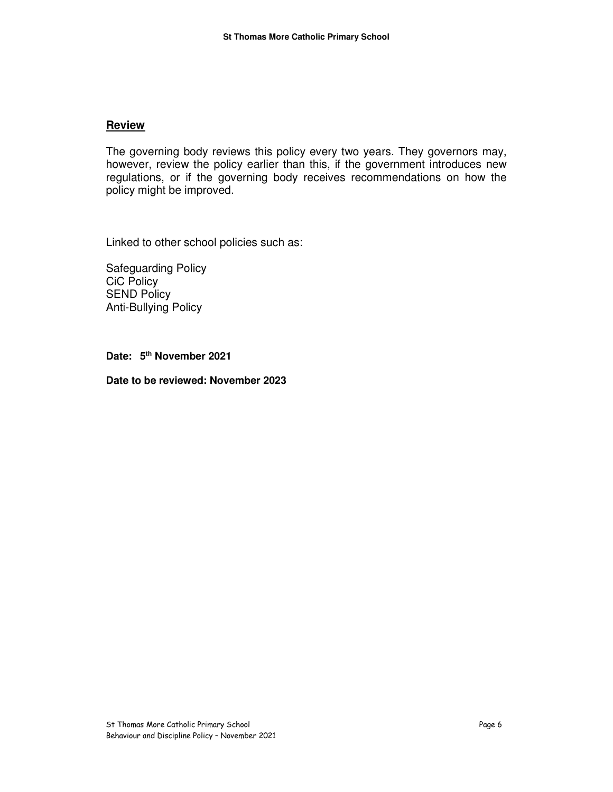#### **Review**

The governing body reviews this policy every two years. They governors may, however, review the policy earlier than this, if the government introduces new regulations, or if the governing body receives recommendations on how the policy might be improved.

Linked to other school policies such as:

Safeguarding Policy CiC Policy SEND Policy Anti-Bullying Policy

**Date: 5th November 2021** 

**Date to be reviewed: November 2023**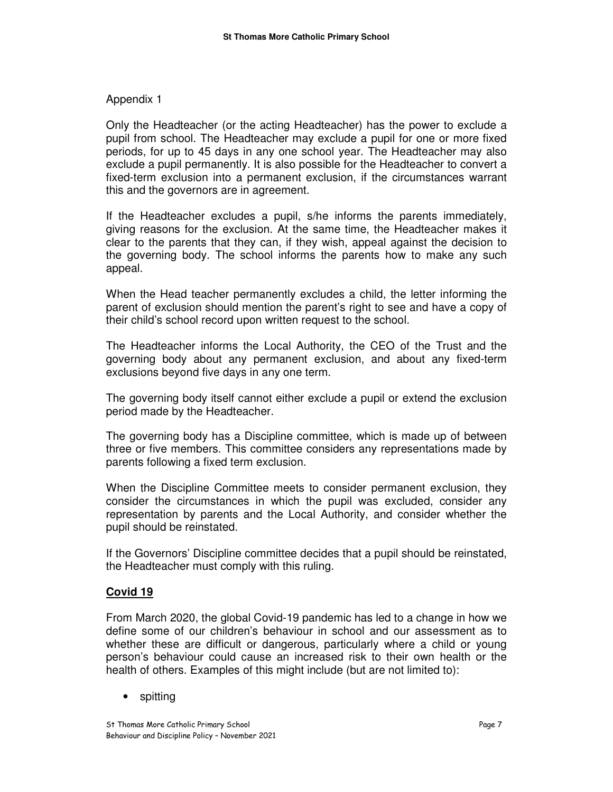## Appendix 1

Only the Headteacher (or the acting Headteacher) has the power to exclude a pupil from school. The Headteacher may exclude a pupil for one or more fixed periods, for up to 45 days in any one school year. The Headteacher may also exclude a pupil permanently. It is also possible for the Headteacher to convert a fixed-term exclusion into a permanent exclusion, if the circumstances warrant this and the governors are in agreement.

If the Headteacher excludes a pupil, s/he informs the parents immediately, giving reasons for the exclusion. At the same time, the Headteacher makes it clear to the parents that they can, if they wish, appeal against the decision to the governing body. The school informs the parents how to make any such appeal.

When the Head teacher permanently excludes a child, the letter informing the parent of exclusion should mention the parent's right to see and have a copy of their child's school record upon written request to the school.

The Headteacher informs the Local Authority, the CEO of the Trust and the governing body about any permanent exclusion, and about any fixed-term exclusions beyond five days in any one term.

The governing body itself cannot either exclude a pupil or extend the exclusion period made by the Headteacher.

The governing body has a Discipline committee, which is made up of between three or five members. This committee considers any representations made by parents following a fixed term exclusion.

When the Discipline Committee meets to consider permanent exclusion, they consider the circumstances in which the pupil was excluded, consider any representation by parents and the Local Authority, and consider whether the pupil should be reinstated.

If the Governors' Discipline committee decides that a pupil should be reinstated, the Headteacher must comply with this ruling.

### **Covid 19**

From March 2020, the global Covid-19 pandemic has led to a change in how we define some of our children's behaviour in school and our assessment as to whether these are difficult or dangerous, particularly where a child or young person's behaviour could cause an increased risk to their own health or the health of others. Examples of this might include (but are not limited to):

• spitting